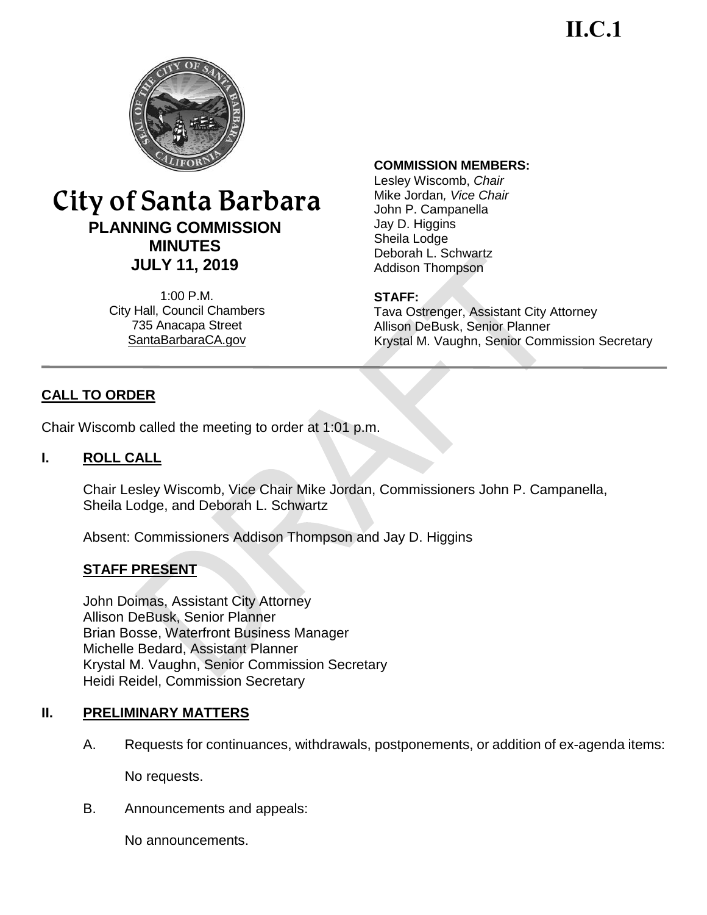**II.C.1**



# City of Santa Barbara **PLANNING COMMISSION MINUTES JULY 11, 2019**

1:00 P.M. City Hall, Council Chambers 735 Anacapa Street SantaBarbaraCA.gov

### **COMMISSION MEMBERS:**

Lesley Wiscomb, *Chair* Mike Jordan*, Vice Chair* John P. Campanella Jay D. Higgins Sheila Lodge Deborah L. Schwartz Addison Thompson

## **STAFF:**

Tava Ostrenger, Assistant City Attorney Allison DeBusk, Senior Planner Krystal M. Vaughn, Senior Commission Secretary

# **CALL TO ORDER**

Chair Wiscomb called the meeting to order at 1:01 p.m.

## **I. ROLL CALL**

Chair Lesley Wiscomb, Vice Chair Mike Jordan, Commissioners John P. Campanella, Sheila Lodge, and Deborah L. Schwartz

Absent: Commissioners Addison Thompson and Jay D. Higgins

## **STAFF PRESENT**

John Doimas, Assistant City Attorney Allison DeBusk, Senior Planner Brian Bosse, Waterfront Business Manager Michelle Bedard, Assistant Planner Krystal M. Vaughn, Senior Commission Secretary Heidi Reidel, Commission Secretary

## **II. PRELIMINARY MATTERS**

A. Requests for continuances, withdrawals, postponements, or addition of ex-agenda items:

No requests.

B. Announcements and appeals:

No announcements.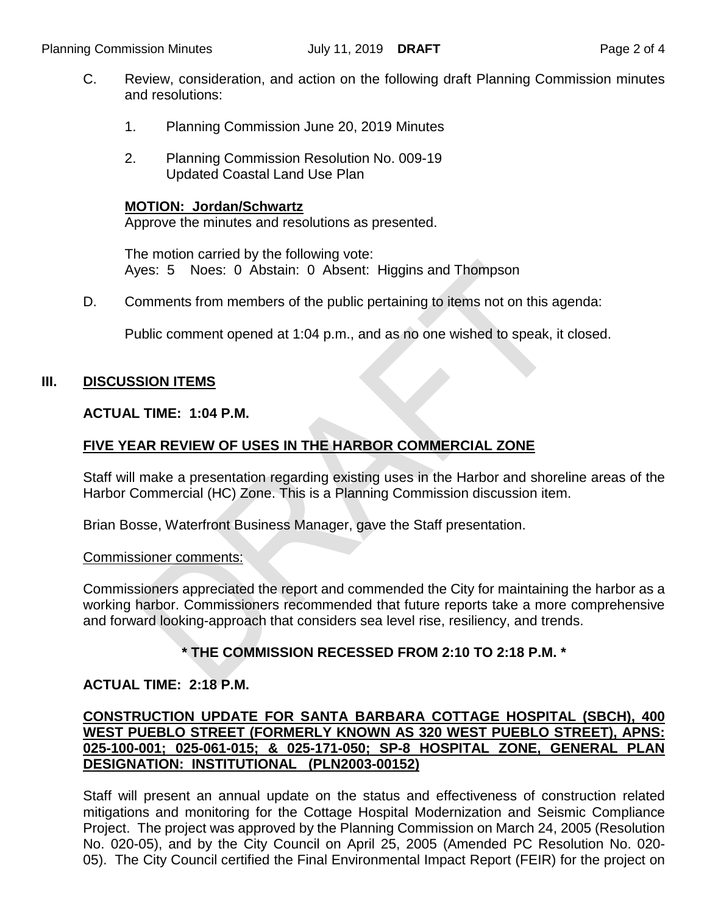- C. Review, consideration, and action on the following draft Planning Commission minutes and resolutions:
	- 1. Planning Commission June 20, 2019 Minutes
	- 2. Planning Commission Resolution No. 009-19 Updated Coastal Land Use Plan

#### **MOTION: Jordan/Schwartz**

Approve the minutes and resolutions as presented.

The motion carried by the following vote: Ayes: 5 Noes: 0 Abstain: 0 Absent: Higgins and Thompson

D. Comments from members of the public pertaining to items not on this agenda:

Public comment opened at 1:04 p.m., and as no one wished to speak, it closed.

## **III. DISCUSSION ITEMS**

#### **ACTUAL TIME: 1:04 P.M.**

# **FIVE YEAR REVIEW OF USES IN THE HARBOR COMMERCIAL ZONE**

Staff will make a presentation regarding existing uses in the Harbor and shoreline areas of the Harbor Commercial (HC) Zone. This is a Planning Commission discussion item.

Brian Bosse, Waterfront Business Manager, gave the Staff presentation.

#### Commissioner comments:

Commissioners appreciated the report and commended the City for maintaining the harbor as a working harbor. Commissioners recommended that future reports take a more comprehensive and forward looking-approach that considers sea level rise, resiliency, and trends.

## **\* THE COMMISSION RECESSED FROM 2:10 TO 2:18 P.M. \***

## **ACTUAL TIME: 2:18 P.M.**

# **CONSTRUCTION UPDATE FOR SANTA BARBARA COTTAGE HOSPITAL (SBCH), 400 WEST PUEBLO STREET (FORMERLY KNOWN AS 320 WEST PUEBLO STREET), APNS: 025-100-001; 025-061-015; & 025-171-050; SP-8 HOSPITAL ZONE, GENERAL PLAN DESIGNATION: INSTITUTIONAL (PLN2003-00152)**

Staff will present an annual update on the status and effectiveness of construction related mitigations and monitoring for the Cottage Hospital Modernization and Seismic Compliance Project. The project was approved by the Planning Commission on March 24, 2005 (Resolution No. 020-05), and by the City Council on April 25, 2005 (Amended PC Resolution No. 020- 05). The City Council certified the Final Environmental Impact Report (FEIR) for the project on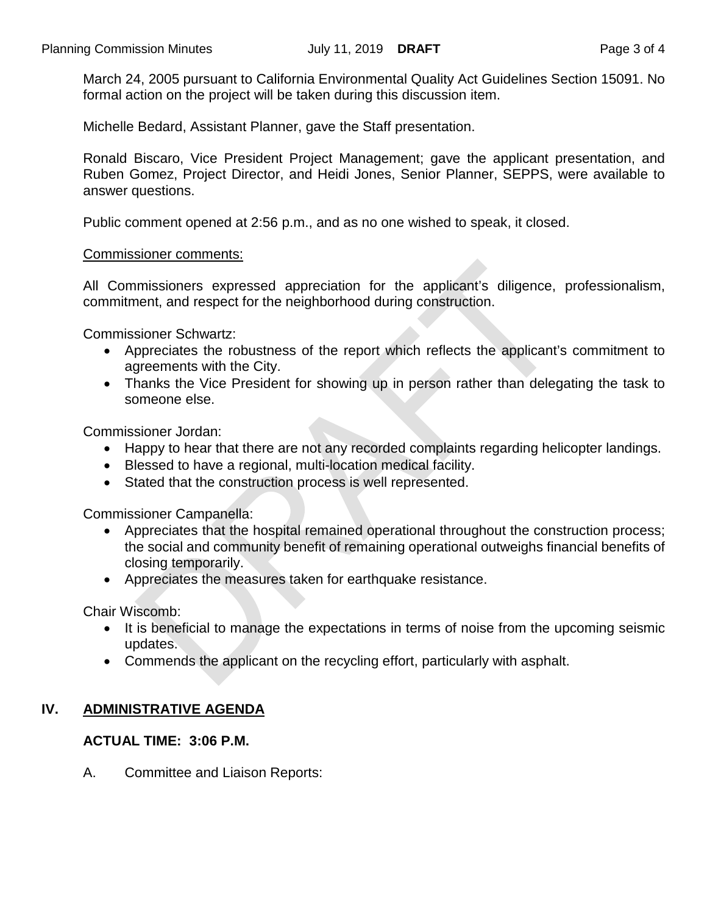March 24, 2005 pursuant to California Environmental Quality Act Guidelines Section 15091. No formal action on the project will be taken during this discussion item.

Michelle Bedard, Assistant Planner, gave the Staff presentation.

Ronald Biscaro, Vice President Project Management; gave the applicant presentation, and Ruben Gomez, Project Director, and Heidi Jones, Senior Planner, SEPPS, were available to answer questions.

Public comment opened at 2:56 p.m., and as no one wished to speak, it closed.

#### Commissioner comments:

All Commissioners expressed appreciation for the applicant's diligence, professionalism, commitment, and respect for the neighborhood during construction.

Commissioner Schwartz:

- Appreciates the robustness of the report which reflects the applicant's commitment to agreements with the City.
- Thanks the Vice President for showing up in person rather than delegating the task to someone else.

Commissioner Jordan:

- Happy to hear that there are not any recorded complaints regarding helicopter landings.
- Blessed to have a regional, multi-location medical facility.
- Stated that the construction process is well represented.

Commissioner Campanella:

- Appreciates that the hospital remained operational throughout the construction process; the social and community benefit of remaining operational outweighs financial benefits of closing temporarily.
- Appreciates the measures taken for earthquake resistance.

Chair Wiscomb:

- It is beneficial to manage the expectations in terms of noise from the upcoming seismic updates.
- Commends the applicant on the recycling effort, particularly with asphalt.

## **IV. ADMINISTRATIVE AGENDA**

## **ACTUAL TIME: 3:06 P.M.**

A. Committee and Liaison Reports: